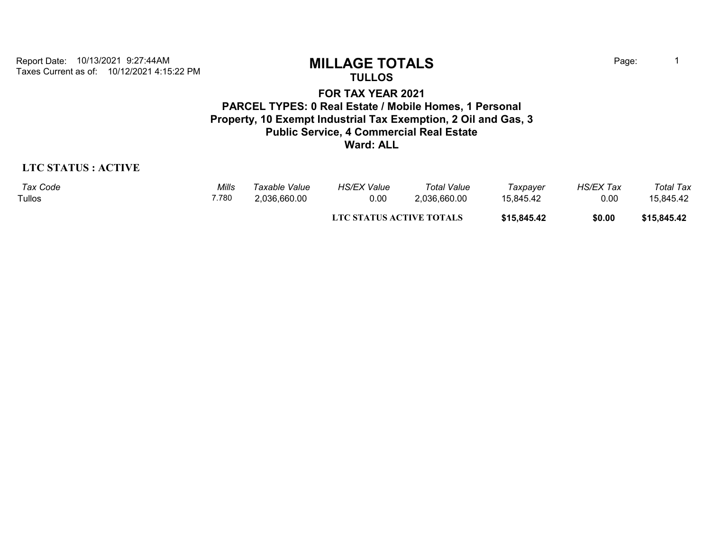Taxes Current as of: 10/12/2021 4:15:22 PM Report Date: 10/13/2021 9:27:44AM **MILLAGE TOTALS** Page: <sup>1</sup>

**TULLOS**

## **FOR TAX YEAR 2021 PARCEL TYPES: 0 Real Estate / Mobile Homes, 1 Personal Property, 10 Exempt Industrial Tax Exemption, 2 Oil and Gas, 3 Public Service, 4 Commercial Real Estate Ward: ALL**

## **LTC STATUS : ACTIVE**

| Tax Code | Mills | Taxable Value | <b>HS/EX Value</b>       | <b>Total Value</b> | Taxpayer    | <b>HS/EX Tax</b> | Total Tax   |
|----------|-------|---------------|--------------------------|--------------------|-------------|------------------|-------------|
| Tullos   | 7.780 | 2,036,660.00  | 0.00                     | 2,036,660.00       | 15,845.42   | 0.00             | 15,845.42   |
|          |       |               | LTC STATUS ACTIVE TOTALS |                    | \$15,845.42 | \$0.00           | \$15,845.42 |